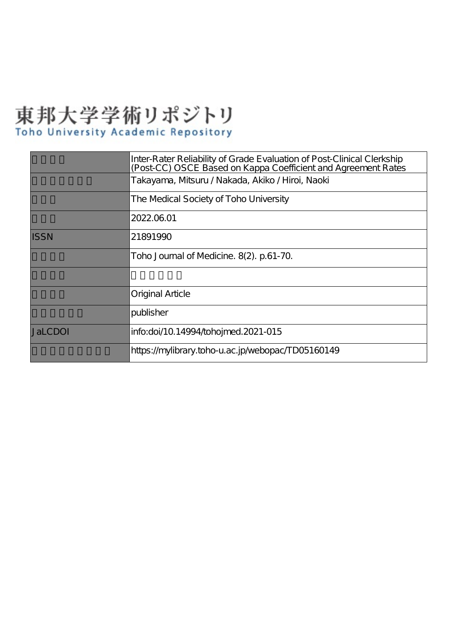# 東邦大学学術リポジトリ Toho University Academic Repository

|             | Inter-Rater Reliability of Grade Evaluation of Post-Clinical Clerkship<br>(Post-CC) OSCE Based on Kappa Coefficient and Agreement Rates |
|-------------|-----------------------------------------------------------------------------------------------------------------------------------------|
|             | Takayama, Mitsuru / Nakada, Akiko / Hiroi, Naoki                                                                                        |
|             | The Medical Society of Toho University                                                                                                  |
|             | 2022.06.01                                                                                                                              |
| <b>ISSN</b> | 21891990                                                                                                                                |
|             | Toho Journal of Medicine. 8(2). p.61-70.                                                                                                |
|             |                                                                                                                                         |
|             | <b>Original Article</b>                                                                                                                 |
|             | publisher                                                                                                                               |
| JaLCDOI     | info:doi/10.14994/tohojmed.2021-015                                                                                                     |
|             | https://mylibrary.toho-u.ac.jp/webopac/TD05160149                                                                                       |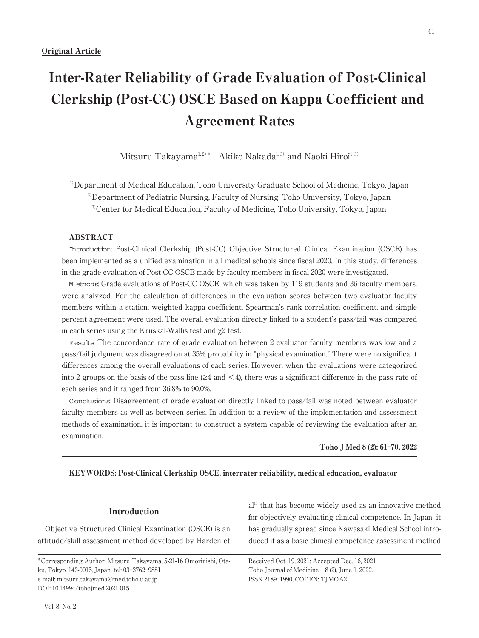# Inter-Rater Reliability of Grade Evaluation of Post-Clinical Clerkship (Post-CC) OSCE Based on Kappa Coefficient and Agreement Rates

Mitsuru Takayama<sup>1,2)\*</sup> Akiko Nakada<sup>1,3)</sup> and Naoki Hiroi<sup>1,3)</sup>

1) Department of Medical Education, Toho University Graduate School of Medicine, Tokyo, Japan <sup>2</sup>Department of Pediatric Nursing, Faculty of Nursing, Toho University, Tokyo, Japan 3) Center for Medical Education, Faculty of Medicine, Toho University, Tokyo, Japan

#### ABSTRACT

Introduction: Post-Clinical Clerkship (Post-CC) Objective Structured Clinical Examination (OSCE) has been implemented as a unified examination in all medical schools since fiscal 2020. In this study, differences in the grade evaluation of Post-CC OSCE made by faculty members in fiscal 2020 were investigated.

M ethods: Grade evaluations of Post-CC OSCE, which was taken by 119 students and 36 faculty members, were analyzed. For the calculation of differences in the evaluation scores between two evaluator faculty members within a station, weighted kappa coefficient, Spearman's rank correlation coefficient, and simple percent agreement were used. The overall evaluation directly linked to a student's pass/fail was compared in each series using the Kruskal-Wallis test and  $\chi^2$  test.

R esults: The concordance rate of grade evaluation between 2 evaluator faculty members was low and a pass/fail judgment was disagreed on at 35% probability in "physical examination." There were no significant differences among the overall evaluations of each series. However, when the evaluations were categorized into 2 groups on the basis of the pass line ( $\geq 4$  and  $\leq 4$ ), there was a significant difference in the pass rate of each series and it ranged from 36.8% to 90.0%.

Conclusions: Disagreement of grade evaluation directly linked to pass/fail was noted between evaluator faculty members as well as between series. In addition to a review of the implementation and assessment methods of examination, it is important to construct a system capable of reviewing the evaluation after an examination.

## Toho J Med 8 (2): 61―70, 2022

# KEYWORDS: Post-Clinical Clerkship OSCE, interrater reliability, medical education, evaluator

## Introduction

Objective Structured Clinical Examination (OSCE) is an attitude/skill assessment method developed by Harden et

\*Corresponding Author: Mitsuru Takayama, 5-21-16 Omorinishi, Otaku, Tokyo, 143-0015, Japan, tel: 03―3762―9881 e-mail: mitsuru.takayama@med.toho-u.ac.jp DOI: 10.14994/tohojmed.2021-015

al<sup>1)</sup> that has become widely used as an innovative method for objectively evaluating clinical competence. In Japan, it has gradually spread since Kawasaki Medical School introduced it as a basic clinical competence assessment method

Received Oct. 19, 2021: Accepted Dec. 16, 2021 Toho Journal of Medicine 8 (2), June 1, 2022. ISSN 2189―1990, CODEN: TJMOA2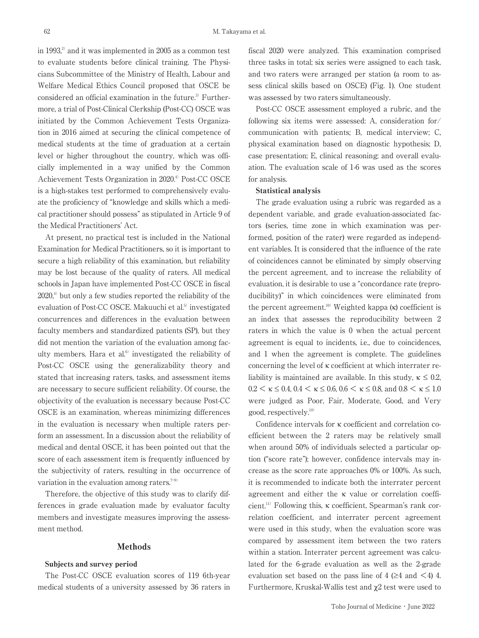in 1993, $\alpha$ <sup>2</sup> and it was implemented in 2005 as a common test to evaluate students before clinical training. The Physicians Subcommittee of the Ministry of Health, Labour and Welfare Medical Ethics Council proposed that OSCE be considered an official examination in the future. $3$  Furthermore, a trial of Post-Clinical Clerkship (Post-CC) OSCE was initiated by the Common Achievement Tests Organization in 2016 aimed at securing the clinical competence of medical students at the time of graduation at a certain level or higher throughout the country, which was officially implemented in a way unified by the Common Achievement Tests Organization in 2020.<sup>4)</sup> Post-CC OSCE is a high-stakes test performed to comprehensively evaluate the proficiency of "knowledge and skills which a medical practitioner should possess" as stipulated in Article 9 of the Medical Practitioners' Act.

At present, no practical test is included in the National Examination for Medical Practitioners, so it is important to secure a high reliability of this examination, but reliability may be lost because of the quality of raters. All medical schools in Japan have implemented Post-CC OSCE in fiscal  $2020$ ,<sup> $4)$ </sup> but only a few studies reported the reliability of the evaluation of Post-CC OSCE. Makuuchi et al.<sup>5)</sup> investigated concurrences and differences in the evaluation between faculty members and standardized patients (SP), but they did not mention the variation of the evaluation among faculty members. Hara et al.<sup> $6$ </sup> investigated the reliability of Post-CC OSCE using the generalizability theory and stated that increasing raters, tasks, and assessment items are necessary to secure sufficient reliability. Of course, the objectivity of the evaluation is necessary because Post-CC OSCE is an examination, whereas minimizing differences in the evaluation is necessary when multiple raters perform an assessment. In a discussion about the reliability of medical and dental OSCE, it has been pointed out that the score of each assessment item is frequently influenced by the subjectivity of raters, resulting in the occurrence of variation in the evaluation among raters. $7-9$ 

Therefore, the objective of this study was to clarify differences in grade evaluation made by evaluator faculty members and investigate measures improving the assessment method.

## Methods

#### Subjects and survey period

The Post-CC OSCE evaluation scores of 119 6th-year medical students of a university assessed by 36 raters in fiscal 2020 were analyzed. This examination comprised three tasks in total; six series were assigned to each task, and two raters were arranged per station (a room to assess clinical skills based on OSCE) (Fig. 1). One student was assessed by two raters simultaneously.

Post-CC OSCE assessment employed a rubric, and the following six items were assessed: A, consideration for/ communication with patients; B, medical interview; C, physical examination based on diagnostic hypothesis; D, case presentation; E, clinical reasoning; and overall evaluation. The evaluation scale of 1-6 was used as the scores for analysis.

#### Statistical analysis

The grade evaluation using a rubric was regarded as a dependent variable, and grade evaluation-associated factors (series, time zone in which examination was performed, position of the rater) were regarded as independent variables. It is considered that the influence of the rate of coincidences cannot be eliminated by simply observing the percent agreement, and to increase the reliability of evaluation, it is desirable to use a "concordance rate (reproducibility)" in which coincidences were eliminated from the percent agreement.<sup>10)</sup> Weighted kappa (κ) coefficient is an index that assesses the reproducibility between 2 raters in which the value is 0 when the actual percent agreement is equal to incidents, i.e., due to coincidences, and 1 when the agreement is complete. The guidelines concerning the level of κ coefficient at which interrater reliability is maintained are available. In this study,  $\kappa \leq 0.2$ ,  $0.2 < \kappa \le 0.4$ ,  $0.4 < \kappa \le 0.6$ ,  $0.6 < \kappa \le 0.8$ , and  $0.8 < \kappa \le 1.0$ were judged as Poor, Fair, Moderate, Good, and Very good, respectively. $^{10)}$ 

Confidence intervals for κ coefficient and correlation coefficient between the 2 raters may be relatively small when around 50% of individuals selected a particular option ("score rate"); however, confidence intervals may increase as the score rate approaches 0% or 100%. As such, it is recommended to indicate both the interrater percent agreement and either the κ value or correlation coefficient.11) Following this, κ coefficient, Spearman's rank correlation coefficient, and interrater percent agreement were used in this study, when the evaluation score was compared by assessment item between the two raters within a station. Interrater percent agreement was calculated for the 6-grade evaluation as well as the 2-grade evaluation set based on the pass line of 4 ( $\geq 4$  and  $\leq 4$ ) 4. Furthermore, Kruskal-Wallis test and  $\chi^2$  test were used to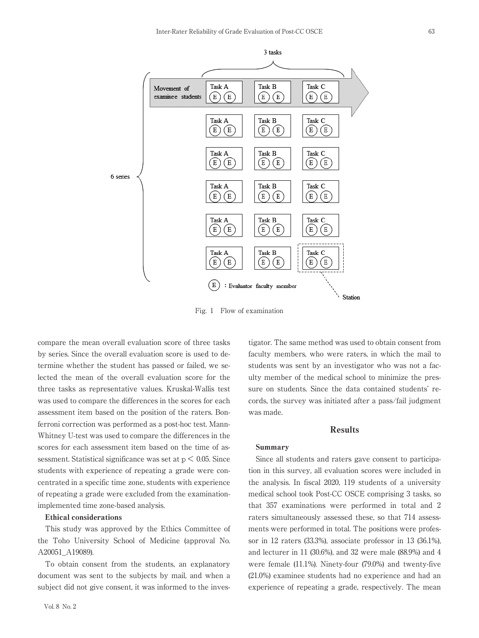

Fig. 1 Flow of examination

compare the mean overall evaluation score of three tasks by series. Since the overall evaluation score is used to determine whether the student has passed or failed, we selected the mean of the overall evaluation score for the three tasks as representative values. Kruskal-Wallis test was used to compare the differences in the scores for each assessment item based on the position of the raters. Bonferroni correction was performed as a post-hoc test. Mann-Whitney U-test was used to compare the differences in the scores for each assessment item based on the time of assessment. Statistical significance was set at  $p < 0.05$ . Since students with experience of repeating a grade were concentrated in a specific time zone, students with experience of repeating a grade were excluded from the examinationimplemented time zone-based analysis.

# Ethical considerations

This study was approved by the Ethics Committee of the Toho University School of Medicine (approval No. A20051\_A19089).

To obtain consent from the students, an explanatory document was sent to the subjects by mail, and when a subject did not give consent, it was informed to the inves-

tigator. The same method was used to obtain consent from faculty members, who were raters, in which the mail to students was sent by an investigator who was not a faculty member of the medical school to minimize the pressure on students. Since the data contained students' records, the survey was initiated after a pass/fail judgment was made.

# Results

#### Summary

Since all students and raters gave consent to participation in this survey, all evaluation scores were included in the analysis. In fiscal 2020, 119 students of a university medical school took Post-CC OSCE comprising 3 tasks, so that 357 examinations were performed in total and 2 raters simultaneously assessed these, so that 714 assessments were performed in total. The positions were professor in 12 raters (33.3%), associate professor in 13 (36.1%), and lecturer in 11 (30.6%), and 32 were male (88.9%) and 4 were female (11.1%). Ninety-four (79.0%) and twenty-five (21.0%) examinee students had no experience and had an experience of repeating a grade, respectively. The mean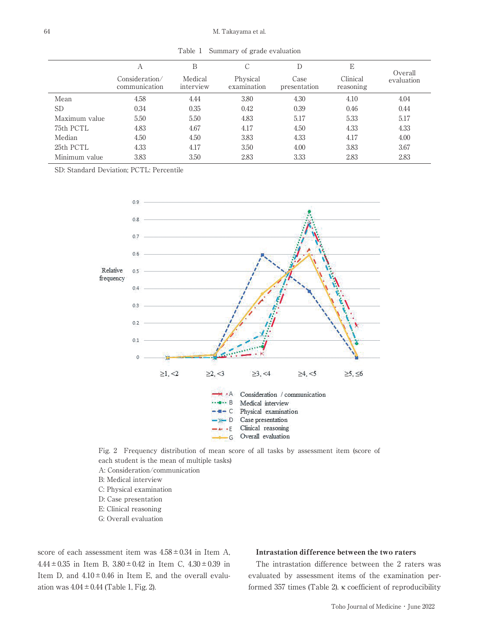Table 1 Summary of grade evaluation

|               | А                               | B                    |                         | D                    | E                     | Overall    |  |
|---------------|---------------------------------|----------------------|-------------------------|----------------------|-----------------------|------------|--|
|               | Consideration/<br>communication | Medical<br>interview | Physical<br>examination | Case<br>presentation | Clinical<br>reasoning | evaluation |  |
| Mean          | 4.58                            | 4.44                 | 3.80                    | 4.30                 | 4.10                  | 4.04       |  |
| SD.           | 0.34                            | 0.35                 | 0.42                    | 0.39                 | 0.46                  | 0.44       |  |
| Maximum value | 5.50                            | 5.50                 | 4.83                    | 5.17                 | 5.33                  | 5.17       |  |
| 75th PCTL     | 4.83                            | 4.67                 | 4.17                    | 4.50                 | 4.33                  | 4.33       |  |
| Median        | 4.50                            | 4.50                 | 3.83                    | 4.33                 | 4.17                  | 4.00       |  |
| 25th PCTL     | 4.33                            | 4.17                 | 3.50                    | 4.00                 | 3.83                  | 3.67       |  |
| Minimum value | 3.83                            | 3.50                 | 2.83                    | 3.33                 | 2.83                  | 2.83       |  |

SD: Standard Deviation; PCTL: Percentile



Fig. 2 Frequency distribution of mean score of all tasks by assessment item (score of each student is the mean of multiple tasks)

- A: Consideration/communication
- B: Medical interview
- C: Physical examination
- D: Case presentation
- E: Clinical reasoning
- G: Overall evaluation

score of each assessment item was  $4.58 \pm 0.34$  in Item A,  $4.44 \pm 0.35$  in Item B,  $3.80 \pm 0.42$  in Item C,  $4.30 \pm 0.39$  in Item D, and  $4.10 \pm 0.46$  in Item E, and the overall evaluation was  $4.04 \pm 0.44$  (Table 1, Fig. 2).

#### Intrastation difference between the two raters

The intrastation difference between the 2 raters was evaluated by assessment items of the examination performed 357 times (Table 2). κ coefficient of reproducibility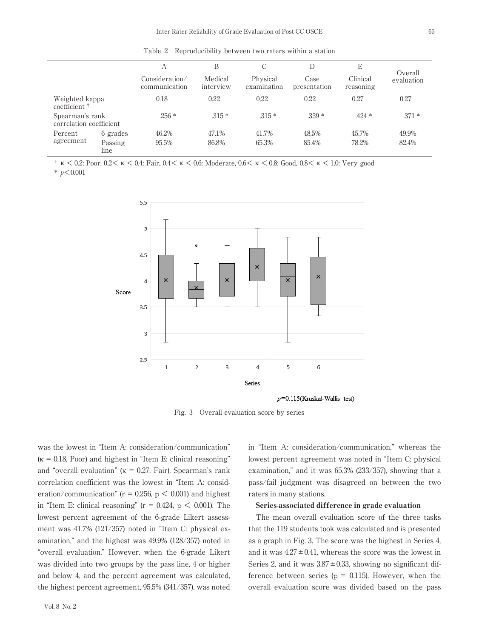Table 2 Reproducibility between two raters within a station

|                                            |                 | А                               | В                    | С                       |                      | Е                     |                       |
|--------------------------------------------|-----------------|---------------------------------|----------------------|-------------------------|----------------------|-----------------------|-----------------------|
|                                            |                 | Consideration/<br>communication | Medical<br>interview | Physical<br>examination | Case<br>presentation | Clinical<br>reasoning | Overall<br>evaluation |
| Weighted kappa<br>coefficient $\dagger$    |                 | 0.18                            | 0.22                 | 0.22                    | 0.22                 | 0.27                  | 0.27                  |
| Spearman's rank<br>correlation coefficient |                 | $.256*$                         | $.315*$              | $.315*$                 | $.339*$              | $.424 *$              | $.371*$               |
| Percent<br>agreement                       | 6 grades        | 46.2%                           | 47.1%                | 41.7%                   | 48.5%                | 45.7%                 | 49.9%                 |
|                                            | Passing<br>line | 95.5%                           | 86.8%                | 65.3%                   | 85.4%                | 78.2%                 | 82.4%                 |

 $\tau \leq 0.2$ : Poor,  $0.2<\kappa \leq 0.4$ : Fair,  $0.4<\kappa \leq 0.6$ : Moderate,  $0.6<\kappa \leq 0.8$ : Good,  $0.8<\kappa \leq 1.0$ : Very good

\* *p*<0.001



 $p=0.115$ (Kruskal-Wallis test)

Fig. 3 Overall evaluation score by series

was the lowest in "Item A: consideration/communication"  $(\kappa = 0.18, P<sub>oor</sub>)$  and highest in "Item E: clinical reasoning" and "overall evaluation" ( $\kappa = 0.27$ , Fair). Spearman's rank correlation coefficient was the lowest in "Item A: consideration/communication" ( $r = 0.256$ ,  $p \le 0.001$ ) and highest in "Item E: clinical reasoning" ( $r = 0.424$ ,  $p < 0.001$ ). The lowest percent agreement of the 6-grade Likert assessment was 41.7% (121/357) noted in "Item C: physical examination," and the highest was 49.9% (128/357) noted in "overall evaluation." However, when the 6-grade Likert was divided into two groups by the pass line, 4 or higher and below 4, and the percent agreement was calculated, the highest percent agreement, 95.5% (341/357), was noted

in "Item A: consideration/communication," whereas the lowest percent agreement was noted in "Item C: physical examination," and it was 65.3% (233/357), showing that a pass/fail judgment was disagreed on between the two raters in many stations.

#### Series-associated difference in grade evaluation

The mean overall evaluation score of the three tasks that the 119 students took was calculated and is presented as a graph in Fig. 3. The score was the highest in Series 4, and it was  $4.27 \pm 0.41$ , whereas the score was the lowest in Series 2, and it was  $3.87 \pm 0.33$ , showing no significant difference between series ( $p = 0.115$ ). However, when the overall evaluation score was divided based on the pass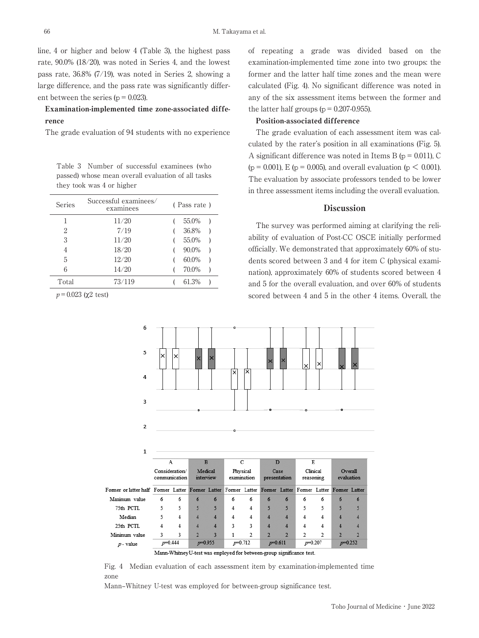line, 4 or higher and below 4 (Table 3), the highest pass rate, 90.0% (18/20), was noted in Series 4, and the lowest pass rate, 36.8% (7/19), was noted in Series 2, showing a large difference, and the pass rate was significantly different between the series ( $p = 0.023$ ).

# Examination-implemented time zone-associated difference

The grade evaluation of 94 students with no experience

Table 3 Number of successful examinees (who passed) whose mean overall evaluation of all tasks they took was 4 or higher

| Series | Successful examinees/<br>examinees | (Pass rate) |       |  |
|--------|------------------------------------|-------------|-------|--|
|        | 11/20                              |             | 55.0% |  |
| 2      | 7/19                               |             | 36.8% |  |
| 3      | 11/20                              |             | 55.0% |  |
| 4      | 18/20                              |             | 90.0% |  |
| 5      | 12/20                              |             | 60.0% |  |
| 6      | 14/20                              |             | 70.0% |  |
| Total  | 73/119                             |             | 61.3% |  |

 $p = 0.023$  (χ2 test)

of repeating a grade was divided based on the examination-implemented time zone into two groups: the former and the latter half time zones and the mean were calculated (Fig. 4). No significant difference was noted in any of the six assessment items between the former and the latter half groups ( $p = 0.207 - 0.955$ ).

#### Position-associated difference

The grade evaluation of each assessment item was calculated by the rater's position in all examinations (Fig. 5). A significant difference was noted in Items B ( $p = 0.011$ ), C  $(p = 0.001)$ , E  $(p = 0.005)$ , and overall evaluation  $(p < 0.001)$ . The evaluation by associate professors tended to be lower in three assessment items including the overall evaluation.

## Discussion

The survey was performed aiming at clarifying the reliability of evaluation of Post-CC OSCE initially performed officially. We demonstrated that approximately 60% of students scored between 3 and 4 for item C (physical examination), approximately 60% of students scored between 4 and 5 for the overall evaluation, and over 60% of students scored between 4 and 5 in the other 4 items. Overall, the



Mann-Whitney U-test was employed for between-group significance test.

Fig. 4 Median evaluation of each assessment item by examination-implemented time zone

Mann-Whitney U-test was employed for between-group significance test.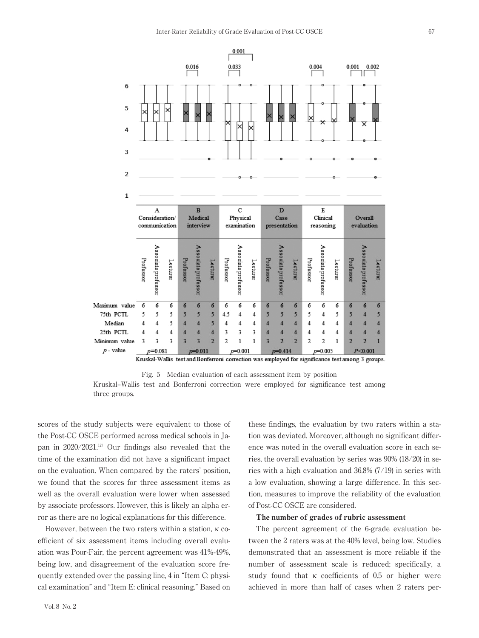

Kruskal-Wallis test and Bonferroni correction was employed for significance test among 3 groups.

Fig. 5 Median evaluation of each assessment item by position Kruskal‒Wallis test and Bonferroni correction were employed for significance test among three groups.

scores of the study subjects were equivalent to those of the Post-CC OSCE performed across medical schools in Japan in  $2020/2021$ <sup>12</sup> Our findings also revealed that the time of the examination did not have a significant impact on the evaluation. When compared by the raters' position, we found that the scores for three assessment items as well as the overall evaluation were lower when assessed by associate professors. However, this is likely an alpha error as there are no logical explanations for this difference.

However, between the two raters within a station, κ coefficient of six assessment items including overall evaluation was Poor-Fair, the percent agreement was 41%-49%, being low, and disagreement of the evaluation score frequently extended over the passing line, 4 in "Item C: physical examination" and "Item E: clinical reasoning." Based on

Vol. 8 No. 2

these findings, the evaluation by two raters within a station was deviated. Moreover, although no significant difference was noted in the overall evaluation score in each series, the overall evaluation by series was 90% (18/20) in series with a high evaluation and 36.8% (7/19) in series with a low evaluation, showing a large difference. In this section, measures to improve the reliability of the evaluation of Post-CC OSCE are considered.

# The number of grades of rubric assessment

The percent agreement of the 6-grade evaluation between the 2 raters was at the 40% level, being low. Studies demonstrated that an assessment is more reliable if the number of assessment scale is reduced; specifically, a study found that κ coefficients of 0.5 or higher were achieved in more than half of cases when 2 raters per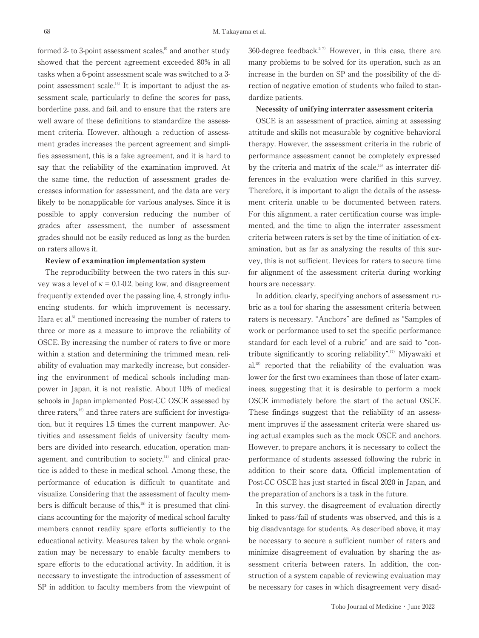formed 2- to 3-point assessment scales, $\degree$  and another study showed that the percent agreement exceeded 80% in all tasks when a 6-point assessment scale was switched to a 3 point assessment scale.<sup>13)</sup> It is important to adjust the assessment scale, particularly to define the scores for pass, borderline pass, and fail, and to ensure that the raters are well aware of these definitions to standardize the assessment criteria. However, although a reduction of assessment grades increases the percent agreement and simplifies assessment, this is a fake agreement, and it is hard to say that the reliability of the examination improved. At the same time, the reduction of assessment grades decreases information for assessment, and the data are very likely to be nonapplicable for various analyses. Since it is possible to apply conversion reducing the number of grades after assessment, the number of assessment grades should not be easily reduced as long as the burden on raters allows it.

#### Review of examination implementation system

The reproducibility between the two raters in this survey was a level of  $\kappa = 0.1$ -0.2, being low, and disagreement frequently extended over the passing line, 4, strongly influencing students, for which improvement is necessary. Hara et al.<sup>6)</sup> mentioned increasing the number of raters to three or more as a measure to improve the reliability of OSCE. By increasing the number of raters to five or more within a station and determining the trimmed mean, reliability of evaluation may markedly increase, but considering the environment of medical schools including manpower in Japan, it is not realistic. About 10% of medical schools in Japan implemented Post-CC OSCE assessed by three raters, $12$  and three raters are sufficient for investigation, but it requires 1.5 times the current manpower. Activities and assessment fields of university faculty members are divided into research, education, operation management, and contribution to society, $44$  and clinical practice is added to these in medical school. Among these, the performance of education is difficult to quantitate and visualize. Considering that the assessment of faculty members is difficult because of this, $15$  it is presumed that clinicians accounting for the majority of medical school faculty members cannot readily spare efforts sufficiently to the educational activity. Measures taken by the whole organization may be necessary to enable faculty members to spare efforts to the educational activity. In addition, it is necessary to investigate the introduction of assessment of SP in addition to faculty members from the viewpoint of

360-degree feedback.<sup>5,7)</sup> However, in this case, there are many problems to be solved for its operation, such as an increase in the burden on SP and the possibility of the direction of negative emotion of students who failed to standardize patients.

#### Necessity of unifying interrater assessment criteria

OSCE is an assessment of practice, aiming at assessing attitude and skills not measurable by cognitive behavioral therapy. However, the assessment criteria in the rubric of performance assessment cannot be completely expressed by the criteria and matrix of the scale, $^{16)}$  as interrater differences in the evaluation were clarified in this survey. Therefore, it is important to align the details of the assessment criteria unable to be documented between raters. For this alignment, a rater certification course was implemented, and the time to align the interrater assessment criteria between raters is set by the time of initiation of examination, but as far as analyzing the results of this survey, this is not sufficient. Devices for raters to secure time for alignment of the assessment criteria during working hours are necessary.

In addition, clearly, specifying anchors of assessment rubric as a tool for sharing the assessment criteria between raters is necessary. "Anchors" are defined as "Samples of work or performance used to set the specific performance standard for each level of a rubric" and are said to "contribute significantly to scoring reliability".17) Miyawaki et  $al.<sup>18)</sup>$  reported that the reliability of the evaluation was lower for the first two examinees than those of later examinees, suggesting that it is desirable to perform a mock OSCE immediately before the start of the actual OSCE. These findings suggest that the reliability of an assessment improves if the assessment criteria were shared using actual examples such as the mock OSCE and anchors. However, to prepare anchors, it is necessary to collect the performance of students assessed following the rubric in addition to their score data. Official implementation of Post-CC OSCE has just started in fiscal 2020 in Japan, and the preparation of anchors is a task in the future.

In this survey, the disagreement of evaluation directly linked to pass/fail of students was observed, and this is a big disadvantage for students. As described above, it may be necessary to secure a sufficient number of raters and minimize disagreement of evaluation by sharing the assessment criteria between raters. In addition, the construction of a system capable of reviewing evaluation may be necessary for cases in which disagreement very disad-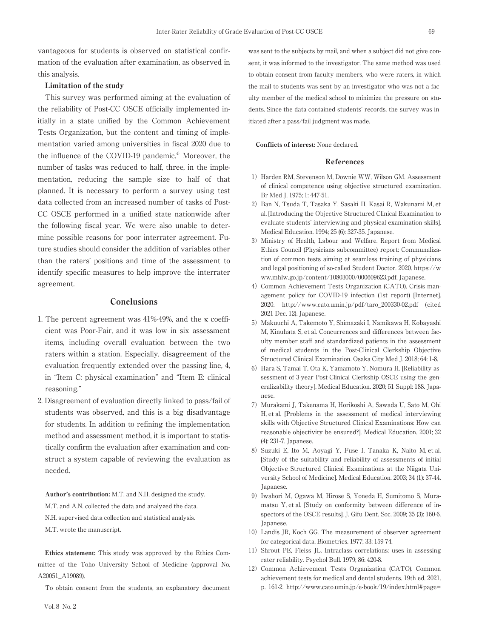vantageous for students is observed on statistical confirmation of the evaluation after examination, as observed in this analysis.

### Limitation of the study

This survey was performed aiming at the evaluation of the reliability of Post-CC OSCE officially implemented initially in a state unified by the Common Achievement Tests Organization, but the content and timing of implementation varied among universities in fiscal 2020 due to the influence of the COVID-19 pandemic.<sup>4)</sup> Moreover, the number of tasks was reduced to half, three, in the implementation, reducing the sample size to half of that planned. It is necessary to perform a survey using test data collected from an increased number of tasks of Post-CC OSCE performed in a unified state nationwide after the following fiscal year. We were also unable to determine possible reasons for poor interrater agreement. Future studies should consider the addition of variables other than the raters' positions and time of the assessment to identify specific measures to help improve the interrater agreement.

# Conclusions

- 1. The percent agreement was 41%-49%, and the κ coefficient was Poor-Fair, and it was low in six assessment items, including overall evaluation between the two raters within a station. Especially, disagreement of the evaluation frequently extended over the passing line, 4, in "Item C: physical examination" and "Item E: clinical reasoning."
- 2. Disagreement of evaluation directly linked to pass/fail of students was observed, and this is a big disadvantage for students. In addition to refining the implementation method and assessment method, it is important to statistically confirm the evaluation after examination and construct a system capable of reviewing the evaluation as needed.

Author's contribution: M.T. and N.H. designed the study. M.T. and A.N. collected the data and analyzed the data. N.H. supervised data collection and statistical analysis. M.T. wrote the manuscript.

Ethics statement: This study was approved by the Ethics Committee of the Toho University School of Medicine (approval No. A20051\_A19089).

To obtain consent from the students, an explanatory document

was sent to the subjects by mail, and when a subject did not give consent, it was informed to the investigator. The same method was used to obtain consent from faculty members, who were raters, in which the mail to students was sent by an investigator who was not a faculty member of the medical school to minimize the pressure on students. Since the data contained students' records, the survey was initiated after a pass/fail judgment was made.

#### Conflicts of interest: None declared.

### References

- 1) Harden RM, Stevenson M, Downie WW, Wilson GM. Assessment of clinical competence using objective structured examination. Br Med J. 1975; 1: 447-51.
- 2) Ban N, Tsuda T, Tasaka Y, Sasaki H, Kasai R, Wakunami M, et al. [Introducing the Objective Structured Clinical Examination to evaluate students' interviewing and physical examination skills]. Medical Education. 1994; 25 (6): 327-35. Japanese.
- 3) Ministry of Health, Labour and Welfare. Report from Medical Ethics Council (Physicians subcommittee) report: Communalization of common tests aiming at seamless training of physicians and legal positioning of so-called Student Doctor. 2020. https://w ww.mhlw.go.jp/content/10803000/000609623.pdf. Japanese.
- 4) Common Achievement Tests Organization (CATO). Crisis management policy for COVID-19 infection (1st report) [Internet]. 2020. http://www.cato.umin.jp/pdf/taro\_200330-02.pdf (cited 2021 Dec. 12). Japanese.
- 5) Makuuchi A, Takemoto Y, Shimazaki I, Namikawa H, Kobayashi M, Kinuhata S, et al. Concurrences and differences between faculty member staff and standardized patients in the assessment of medical students in the Post-Clinical Clerkship Objective Structured Clinical Examination. Osaka City Med J. 2018; 64: 1-8.
- 6) Hara S, Tamai T, Ota K, Yamamoto Y, Nomura H, [Reliability assessment of 3-year Post-Clinical Clerkship OSCE using the generalizability theory]. Medical Education. 2020; 51 Suppl: 188. Japanese.
- 7)Murakami J, Takenama H, Horikoshi A, Sawada U, Sato M, Ohi H, et al. [Problems in the assessment of medical interviewing skills with Objective Structured Clinical Examinations: How can reasonable objectivity be ensured?]. Medical Education. 2001; 32 (4): 231-7. Japanese.
- 8) Suzuki E, Ito M, Aoyagi Y, Fuse I, Tanaka K, Naito M, et al. [Study of the suitability and reliability of assessments of initial Objective Structured Clinical Examinations at the Niigata University School of Medicine]. Medical Education. 2003; 34 (1): 37-44. Japanese.
- 9)Iwahori M, Ogawa M, Hirose S, Yoneda H, Sumitomo S, Muramatsu Y, et al. [Study on conformity between difference of inspectors of the OSCE results]. J. Gifu Dent. Soc. 2009; 35 (3): 160-6. Japanese.
- 10) Landis JR, Koch GG. The measurement of observer agreement for categorical data. Biometrics. 1977; 33: 159-74.
- 11)Shrout PE, Fleiss JL. Intraclass correlations: uses in assessing rater reliability. Psychol Bull. 1979; 86: 420-8.
- 12) Common Achievement Tests Organization (CATO). Common achievement tests for medical and dental students. 19th ed. 2021. p. 161-2. http://www.cato.umin.jp/e-book/19/index.html#page=